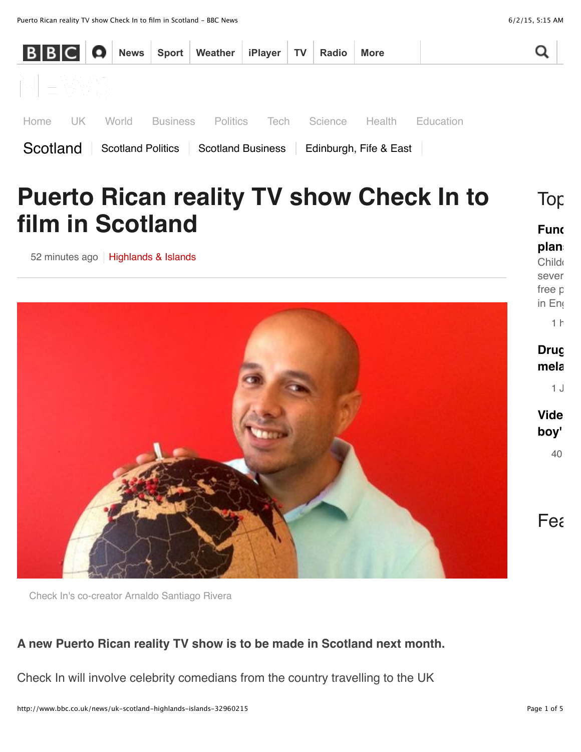

Check In's co-creator Arnaldo Santiago Rivera

#### **A new Puerto Rican reality TV show is to be made in Scotland next month.**

Check In will involve celebrity comedians from the country travelling to the UK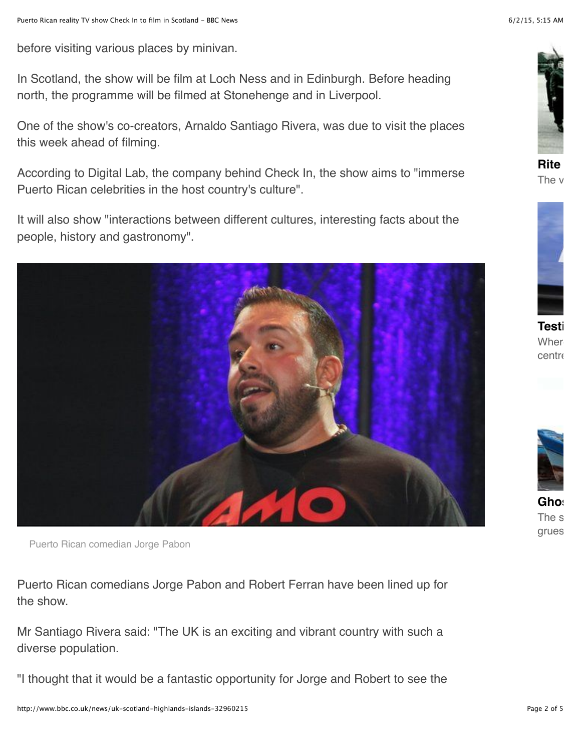before visiting various places by minivan.

In Scotland, the show will be film at Loch Ness and in Edinburgh. Before heading north, the programme will be filmed at Stonehenge and in Liverpool.

One of the show's co-creators, Arnaldo Santiago Rivera, was due to visit the places this week ahead of filming.

According to Digital Lab, the company behind Check In, the show aims to "immerse Puerto Rican celebrities in the host country's culture".

It will also show "interactions between different cultures, interesting facts about the people, history and gastronomy".



Puerto Rican comedian Jorge Pabon

Puerto Rican comedians Jorge Pabon and Robert Ferran have been lined up for the show.

Mr Santiago Rivera said: "The UK is an exciting and vibrant country with such a diverse population.

"I thought that it would be a fantastic opportunity for Jorge and Robert to see the

![](_page_1_Picture_13.jpeg)

**[Rite](http://www.bbc.co.uk/news/magazine-32929829) of passage** The  $\bm{\mathsf{v}}$ 

![](_page_1_Picture_15.jpeg)

**[Testi](http://www.bbc.co.uk/news/uk-england-31802087)ng times** Where centre

![](_page_1_Picture_17.jpeg)

 $G$ hos The s grues